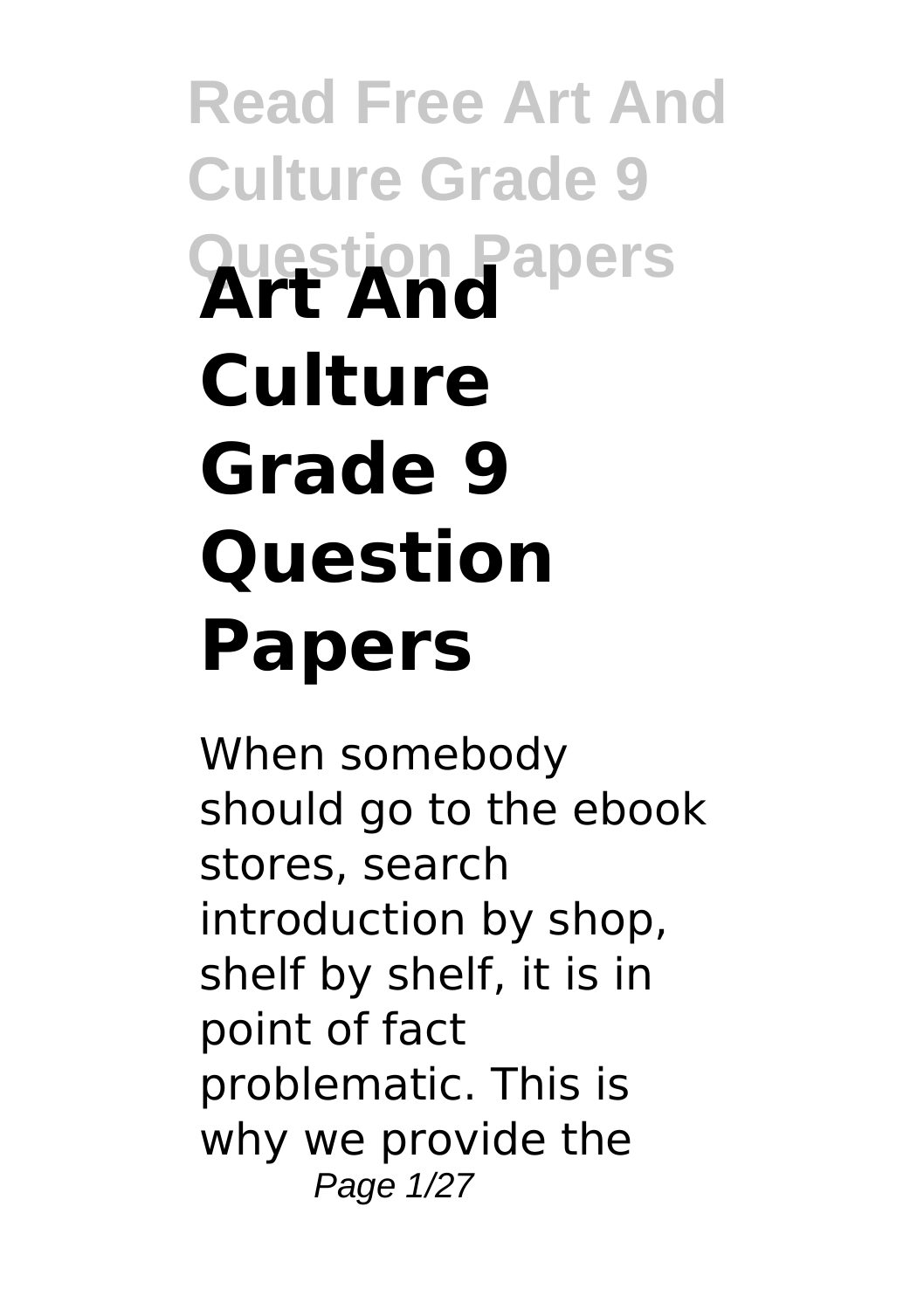# **Read Free Art And Culture Grade 9 Question Papers Art And Culture Grade 9 Question Papers**

When somebody should go to the ebook stores, search introduction by shop, shelf by shelf, it is in point of fact problematic. This is why we provide the Page 1/27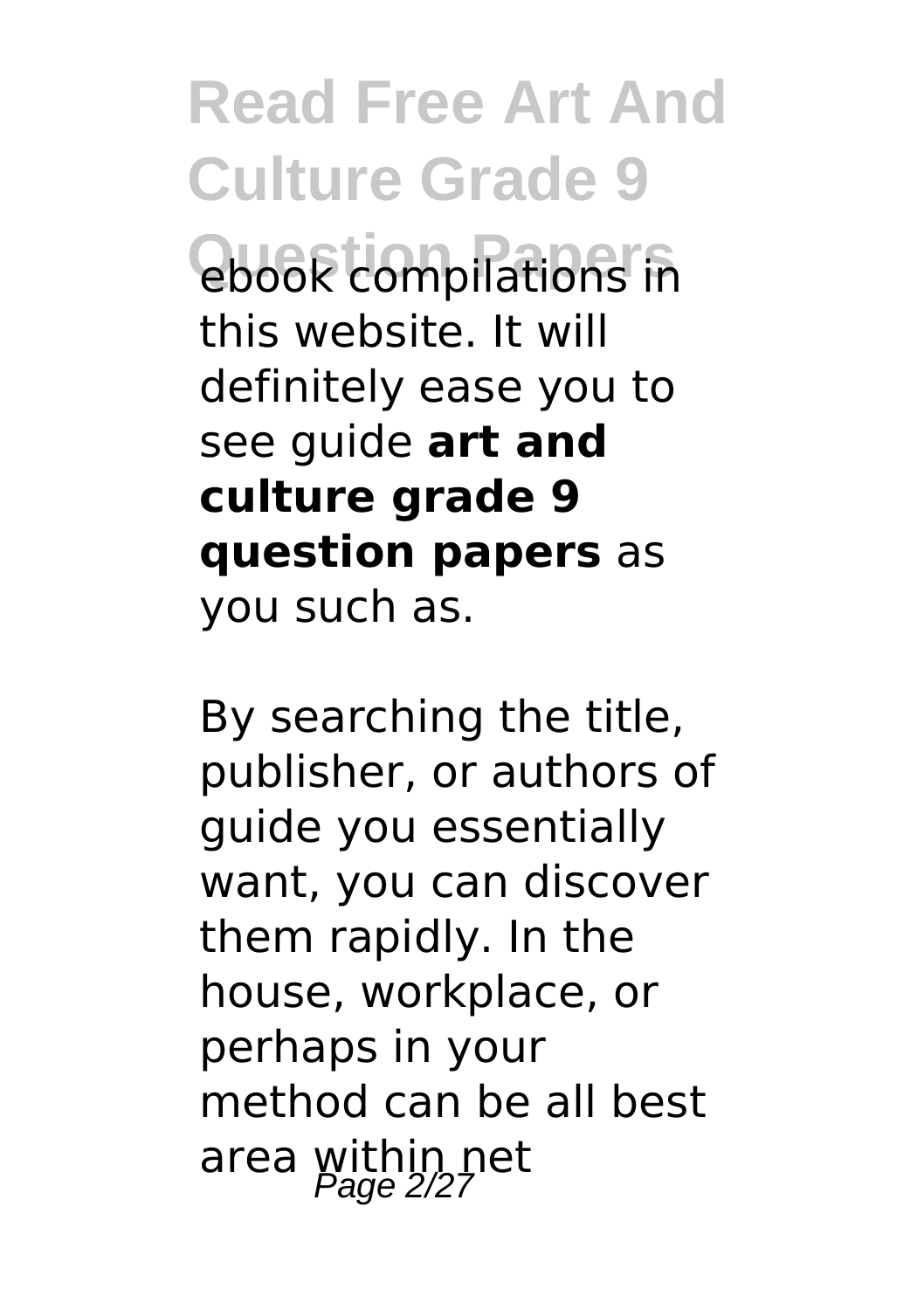**Read Free Art And Culture Grade 9 Question Papers** ebook compilations in this website. It will definitely ease you to see guide **art and culture grade 9 question papers** as you such as.

By searching the title, publisher, or authors of guide you essentially want, you can discover them rapidly. In the house, workplace, or perhaps in your method can be all best area within net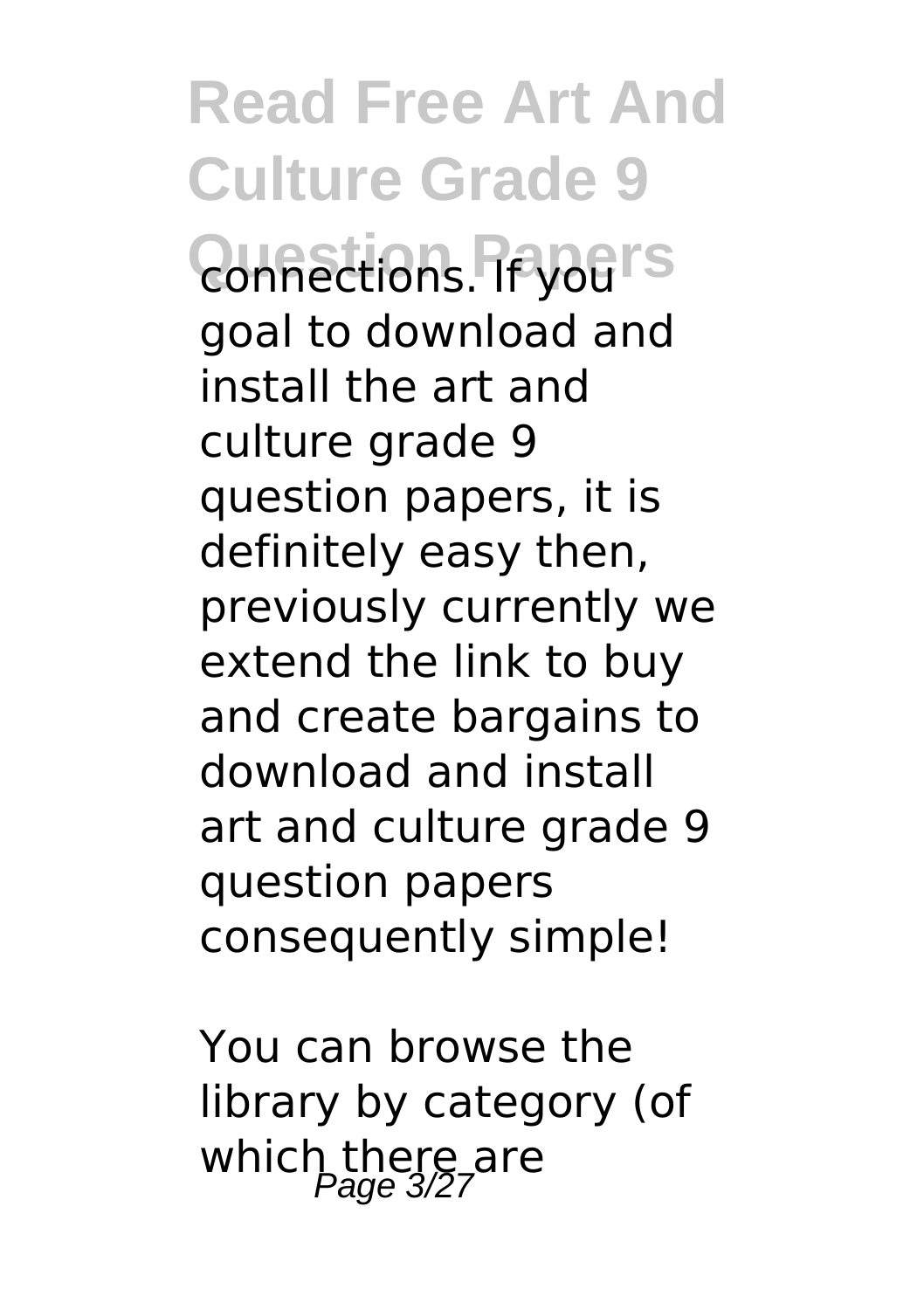**Read Free Art And Culture Grade 9 Quinections. Propers** goal to download and install the art and culture grade 9 question papers, it is definitely easy then, previously currently we extend the link to buy and create bargains to download and install art and culture grade 9 question papers consequently simple!

You can browse the library by category (of which there are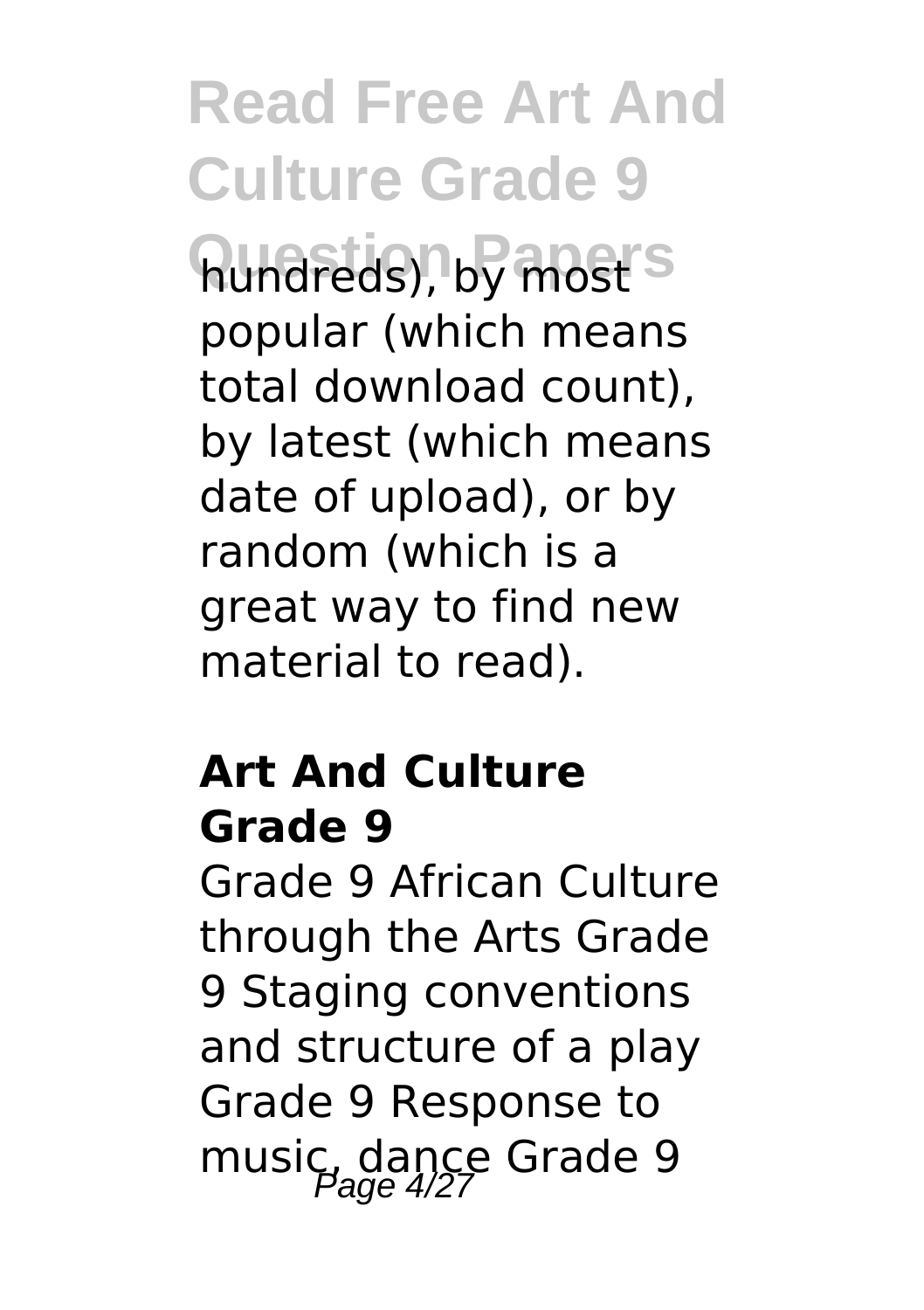**Read Free Art And Culture Grade 9**

hundreds), by most<sup>'s</sup> popular (which means total download count), by latest (which means date of upload), or by random (which is a great way to find new material to read).

### **Art And Culture Grade 9**

Grade 9 African Culture through the Arts Grade 9 Staging conventions and structure of a play Grade 9 Response to music, dance Grade 9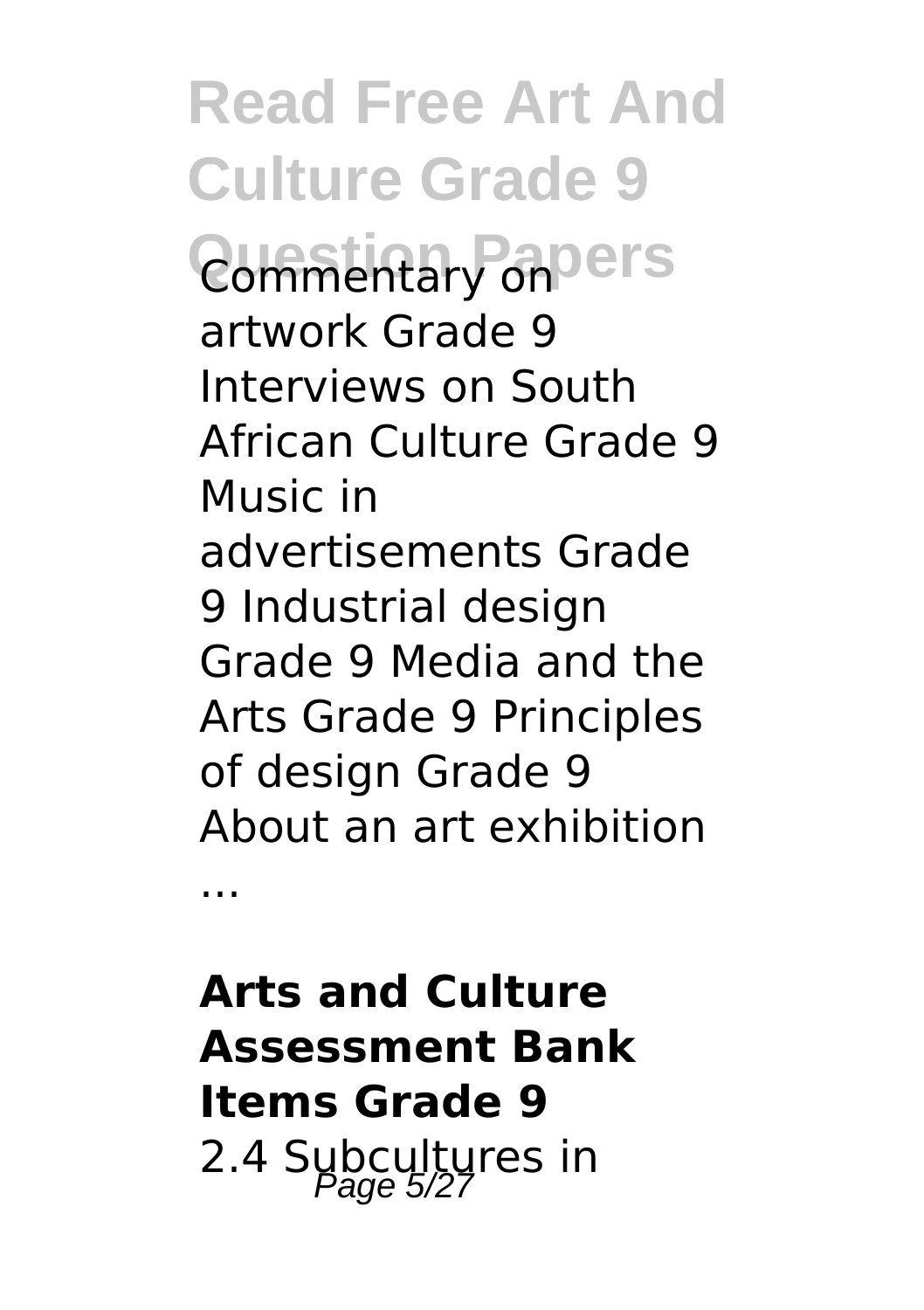**Read Free Art And Culture Grade 9 Question Papers** Commentary on artwork Grade 9 Interviews on South African Culture Grade 9 Music in advertisements Grade 9 Industrial design Grade 9 Media and the Arts Grade 9 Principles of design Grade 9 About an art exhibition

...

### **Arts and Culture Assessment Bank Items Grade 9** 2.4 Subcultures in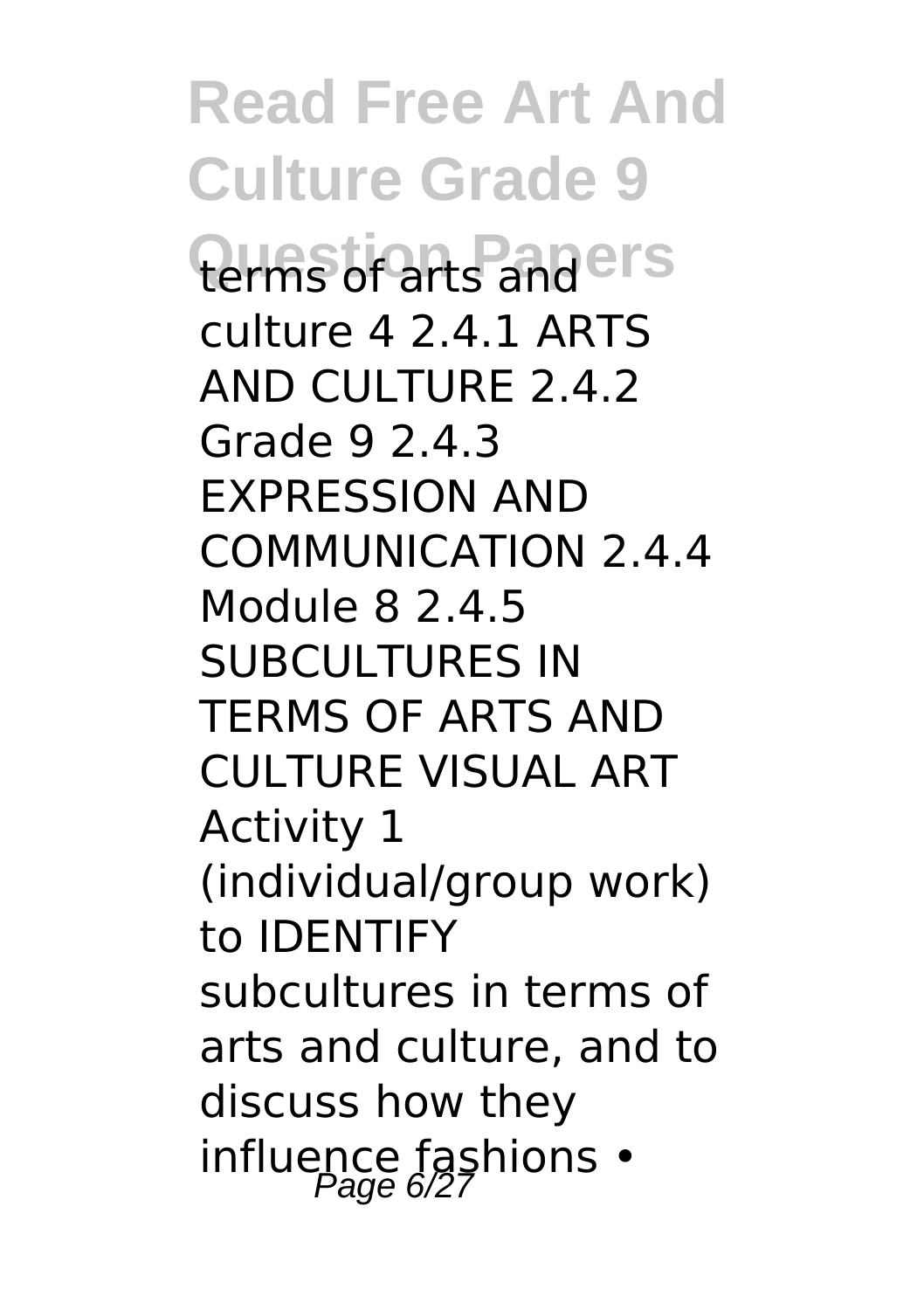**Read Free Art And Culture Grade 9 Question Papers** terms of arts and culture 4 2.4.1 ARTS AND CULTURE 2.4.2 Grade 9 2.4.3 EXPRESSION AND COMMUNICATION 2.4.4 Module 8 2.4.5 SUBCULTURES IN TERMS OF ARTS AND CULTURE VISUAL ART Activity 1 (individual/group work) to IDENTIFY subcultures in terms of arts and culture, and to discuss how they influence fashions  $\cdot$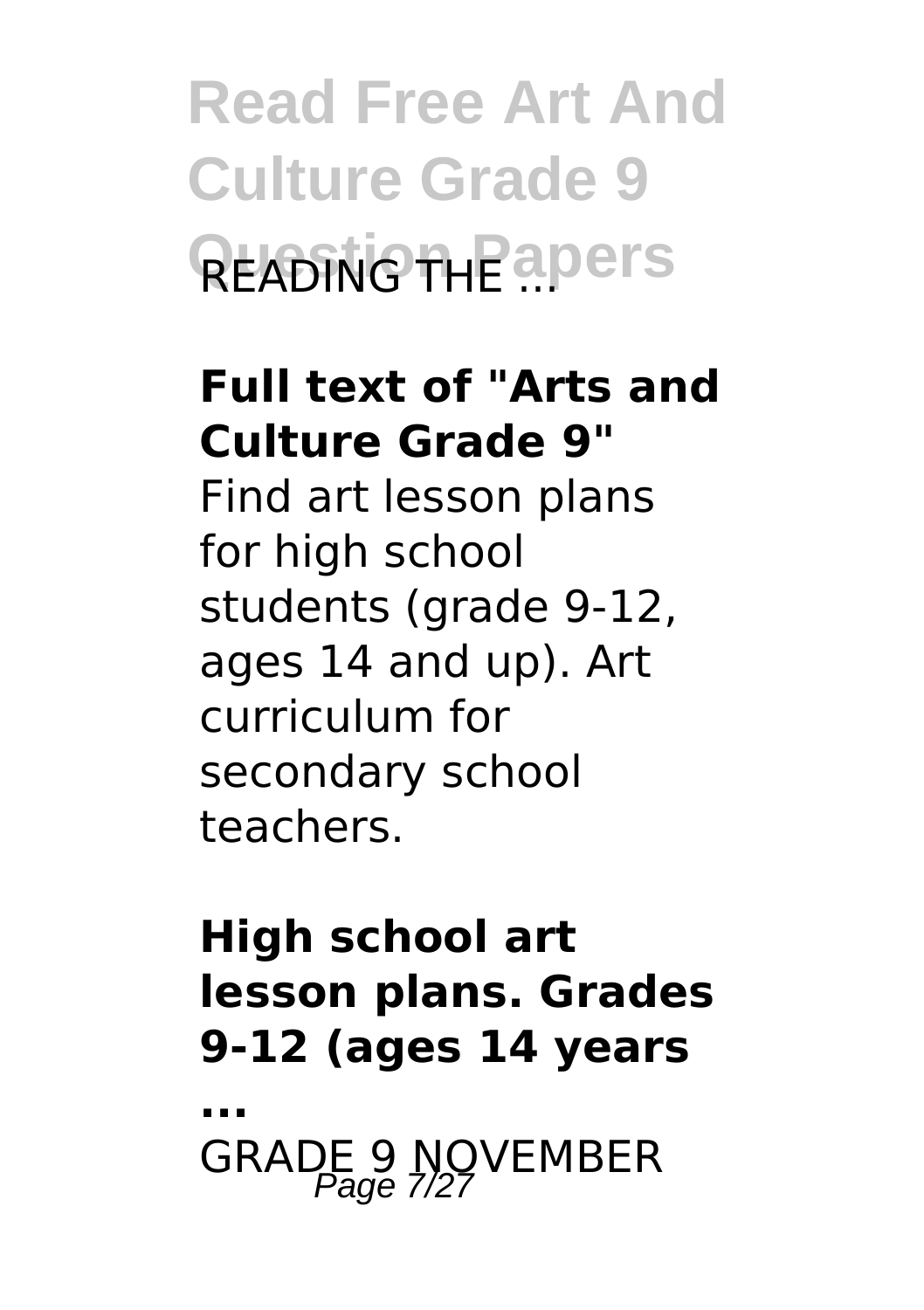**Read Free Art And Culture Grade 9 Q**EADING THE apers

### **Full text of "Arts and Culture Grade 9"**

Find art lesson plans for high school students (grade 9-12, ages 14 and up). Art curriculum for secondary school teachers.

### **High school art lesson plans. Grades 9-12 (ages 14 years**

**...**

GRADE 9 NOVEMBER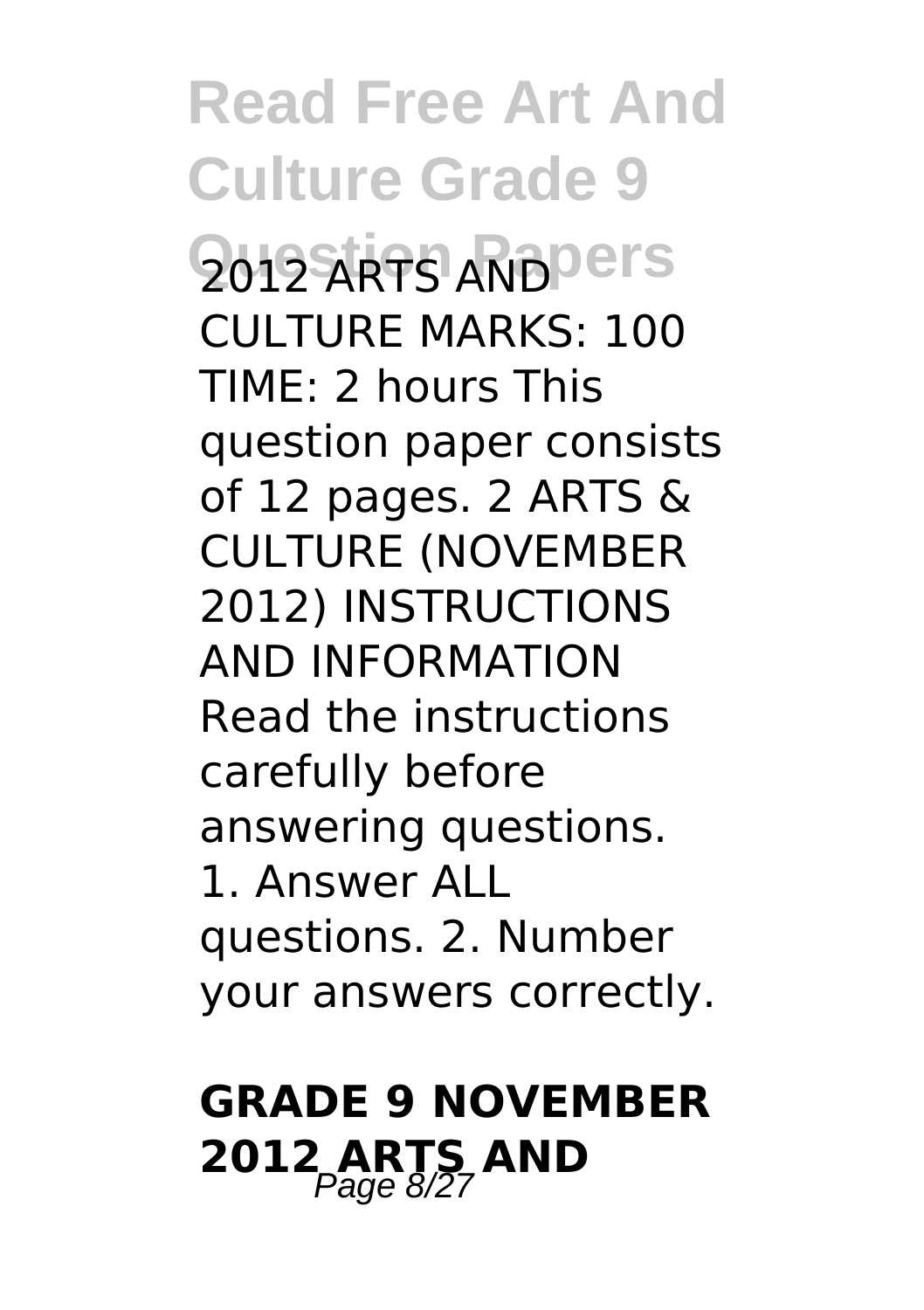**Read Free Art And Culture Grade 9 2012 ARTS AND PETS** CULTURE MARKS: 100 TIME: 2 hours This question paper consists of 12 pages. 2 ARTS & CULTURE (NOVEMBER 2012) INSTRUCTIONS AND INFORMATION Read the instructions carefully before answering questions. 1. Answer ALL questions. 2. Number your answers correctly.

### **GRADE 9 NOVEMBER 2012 ARTS AND** Page 8/27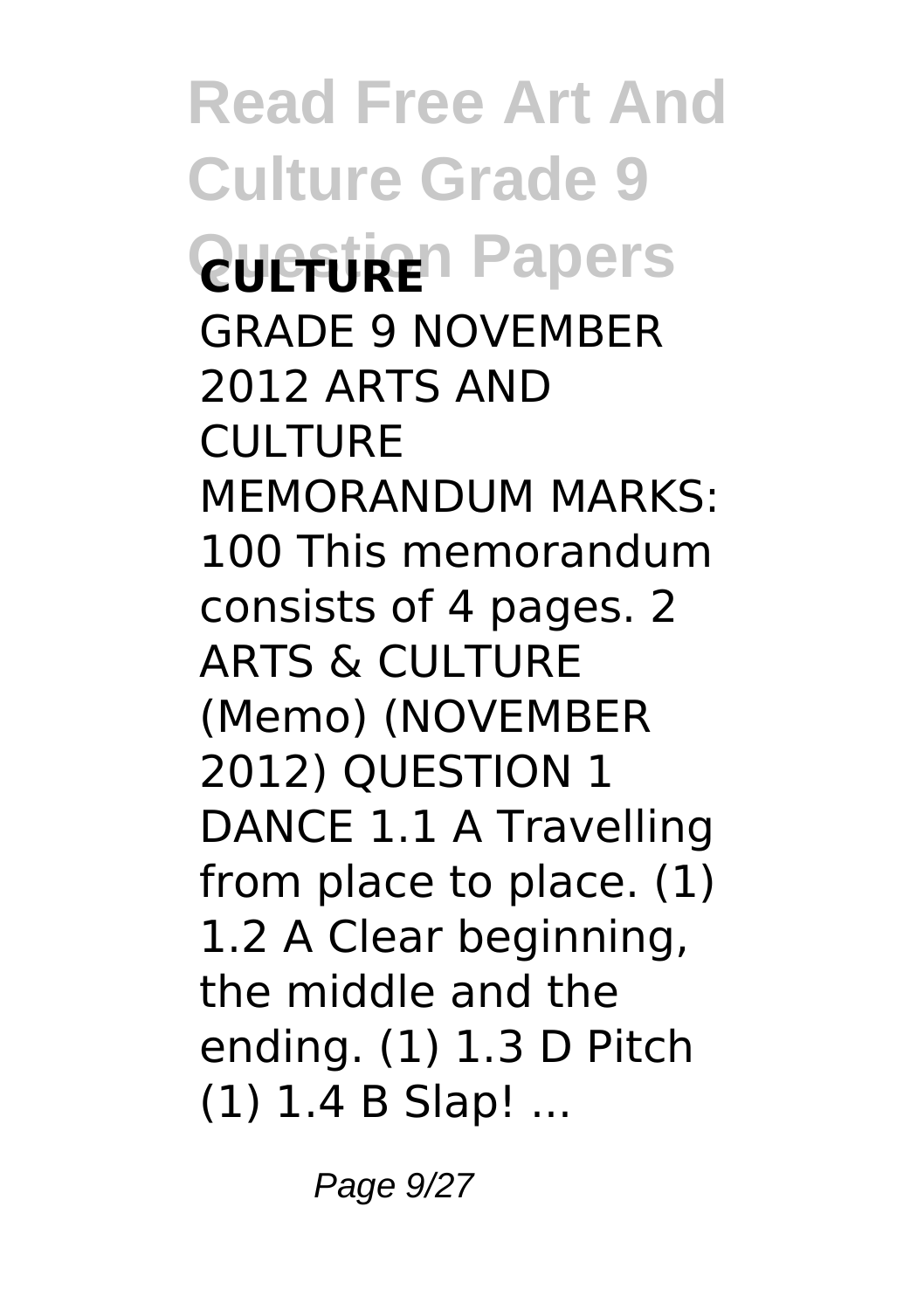**Read Free Art And Culture Grade 9 Question Papers** GRADE 9 NOVEMBER 2012 ARTS AND **CULTURE** MEMORANDUM MARKS: 100 This memorandum consists of 4 pages. 2 ARTS & CULTURE (Memo) (NOVEMBER 2012) QUESTION 1 DANCE 1.1 A Travelling from place to place. (1) 1.2 A Clear beginning, the middle and the ending. (1) 1.3 D Pitch (1) 1.4 B Slap! ...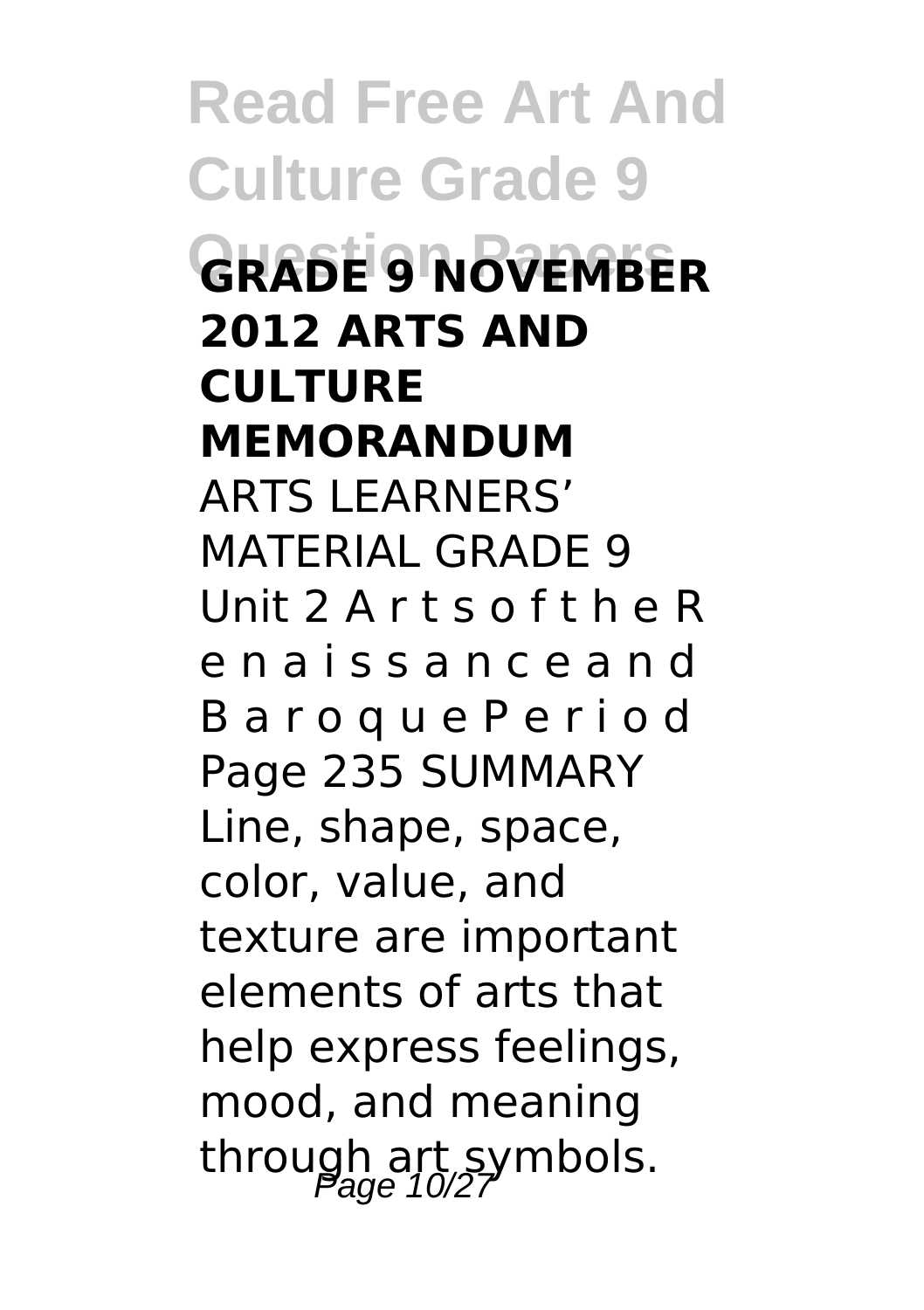**Read Free Art And Culture Grade 9 Question Papers GRADE 9 NOVEMBER 2012 ARTS AND CULTURE MEMORANDUM** ARTS LEARNERS' MATERIAL GRADE 9 Unit 2 A r t s o f t h e R e n a i s s a n c e a n d B a r o q u e P e r i o d Page 235 SUMMARY Line, shape, space, color, value, and texture are important elements of arts that help express feelings, mood, and meaning through art symbols.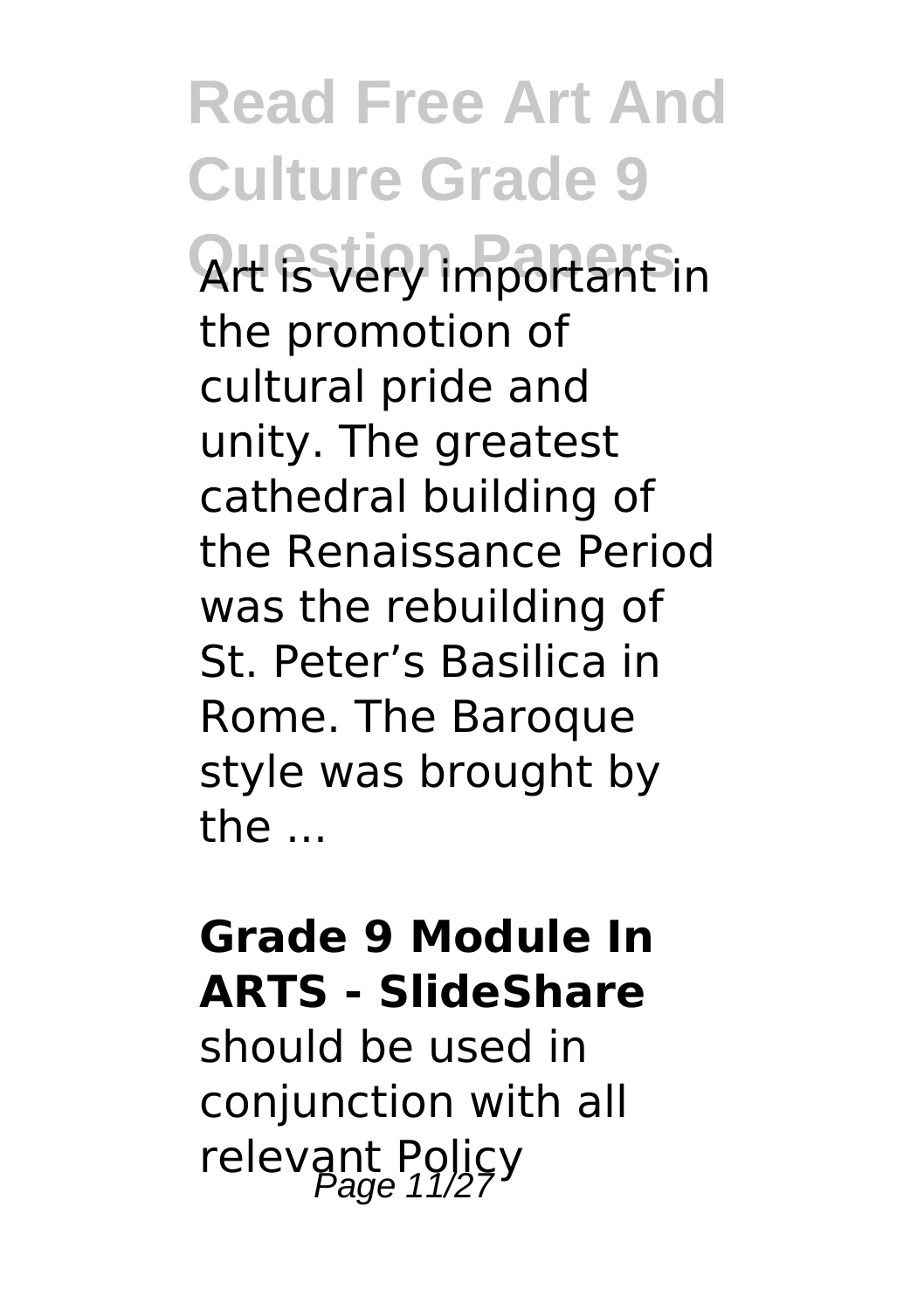# **Read Free Art And Culture Grade 9**

**Question Papers** Art is very important in the promotion of cultural pride and unity. The greatest cathedral building of the Renaissance Period was the rebuilding of St. Peter's Basilica in Rome. The Baroque style was brought by the ...

#### **Grade 9 Module In ARTS - SlideShare**

should be used in conjunction with all relevant Policy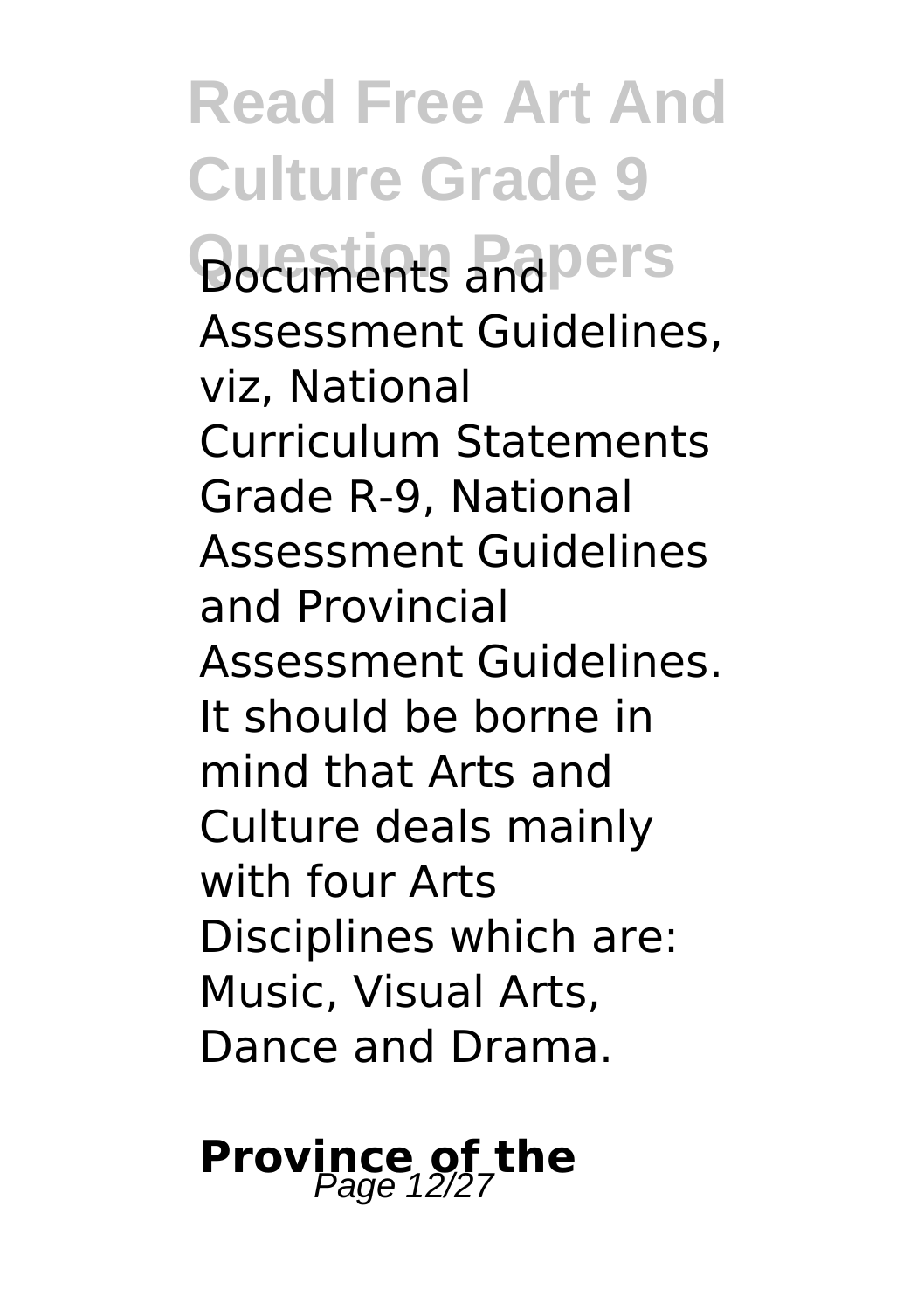**Read Free Art And Culture Grade 9 Question Papers** Assessment Guidelines, viz, National Curriculum Statements Grade R-9, National Assessment Guidelines and Provincial Assessment Guidelines. It should be borne in mind that Arts and Culture deals mainly with four Arts Disciplines which are: Music, Visual Arts, Dance and Drama.

**Province of the**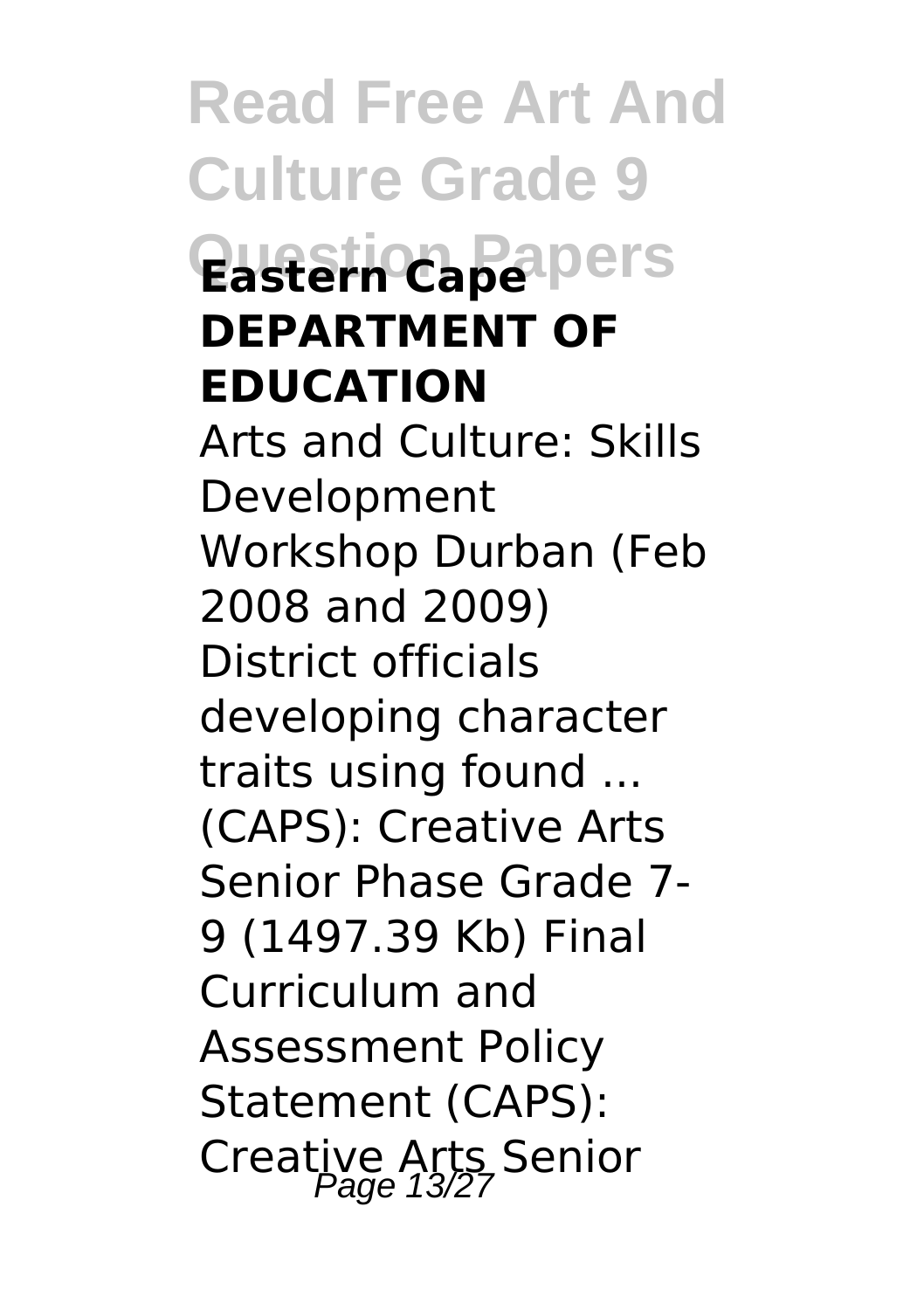**Read Free Art And Culture Grade 9 Question Papers Eastern Cape DEPARTMENT OF EDUCATION** Arts and Culture: Skills Development Workshop Durban (Feb 2008 and 2009) District officials developing character traits using found ... (CAPS): Creative Arts Senior Phase Grade 7- 9 (1497.39 Kb) Final Curriculum and Assessment Policy Statement (CAPS): Creative Arts Senior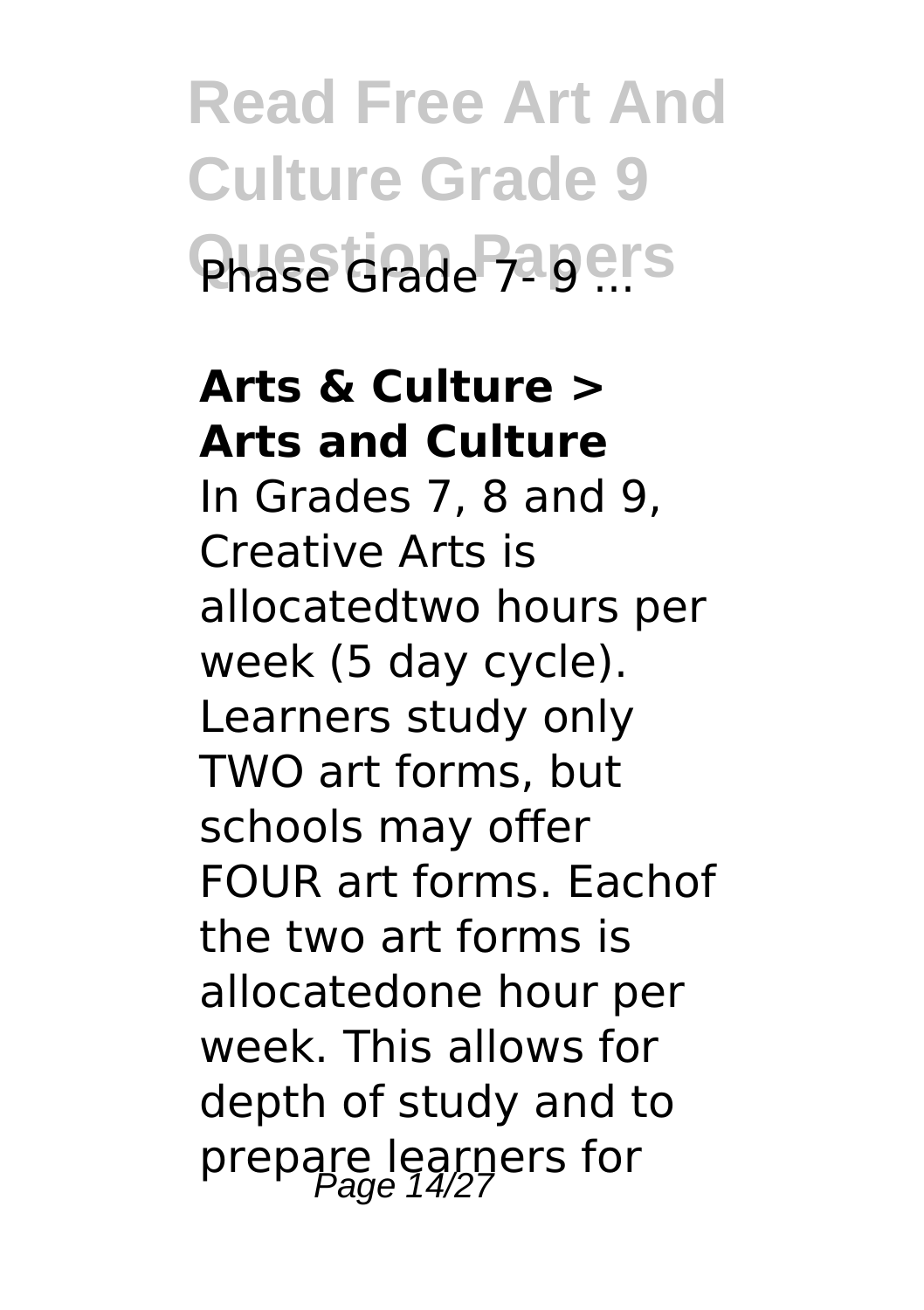**Read Free Art And Culture Grade 9** Phase Grade 710 ers

### **Arts & Culture > Arts and Culture**

In Grades 7, 8 and 9, Creative Arts is allocatedtwo hours per week (5 day cycle). Learners study only TWO art forms, but schools may offer FOUR art forms. Eachof the two art forms is allocatedone hour per week. This allows for depth of study and to prepare learners for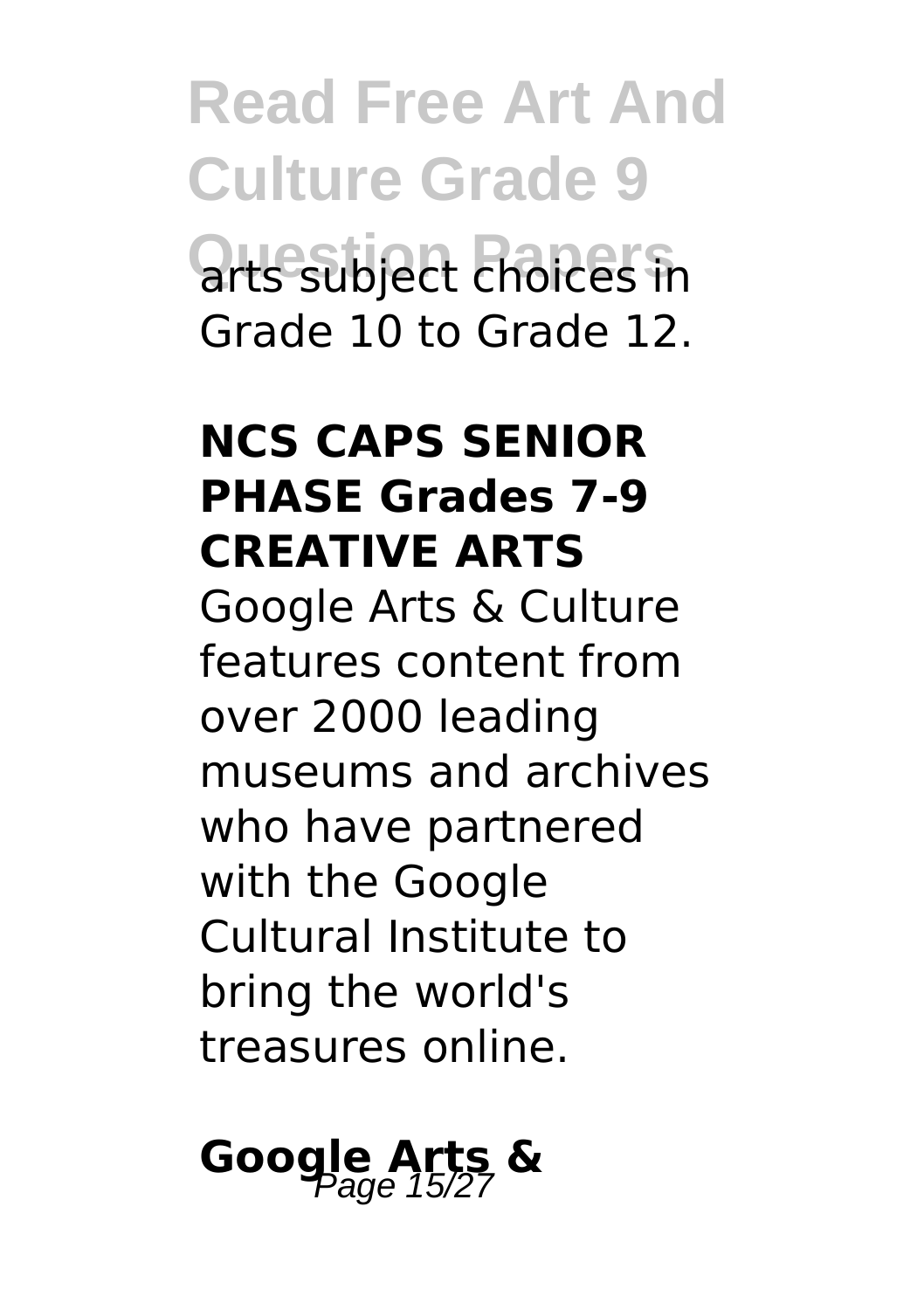**Read Free Art And Culture Grade 9 Question Papers** arts subject choices in Grade 10 to Grade 12.

#### **NCS CAPS SENIOR PHASE Grades 7-9 CREATIVE ARTS**

Google Arts & Culture features content from over 2000 leading museums and archives who have partnered with the Google Cultural Institute to bring the world's treasures online.

# Google Arts &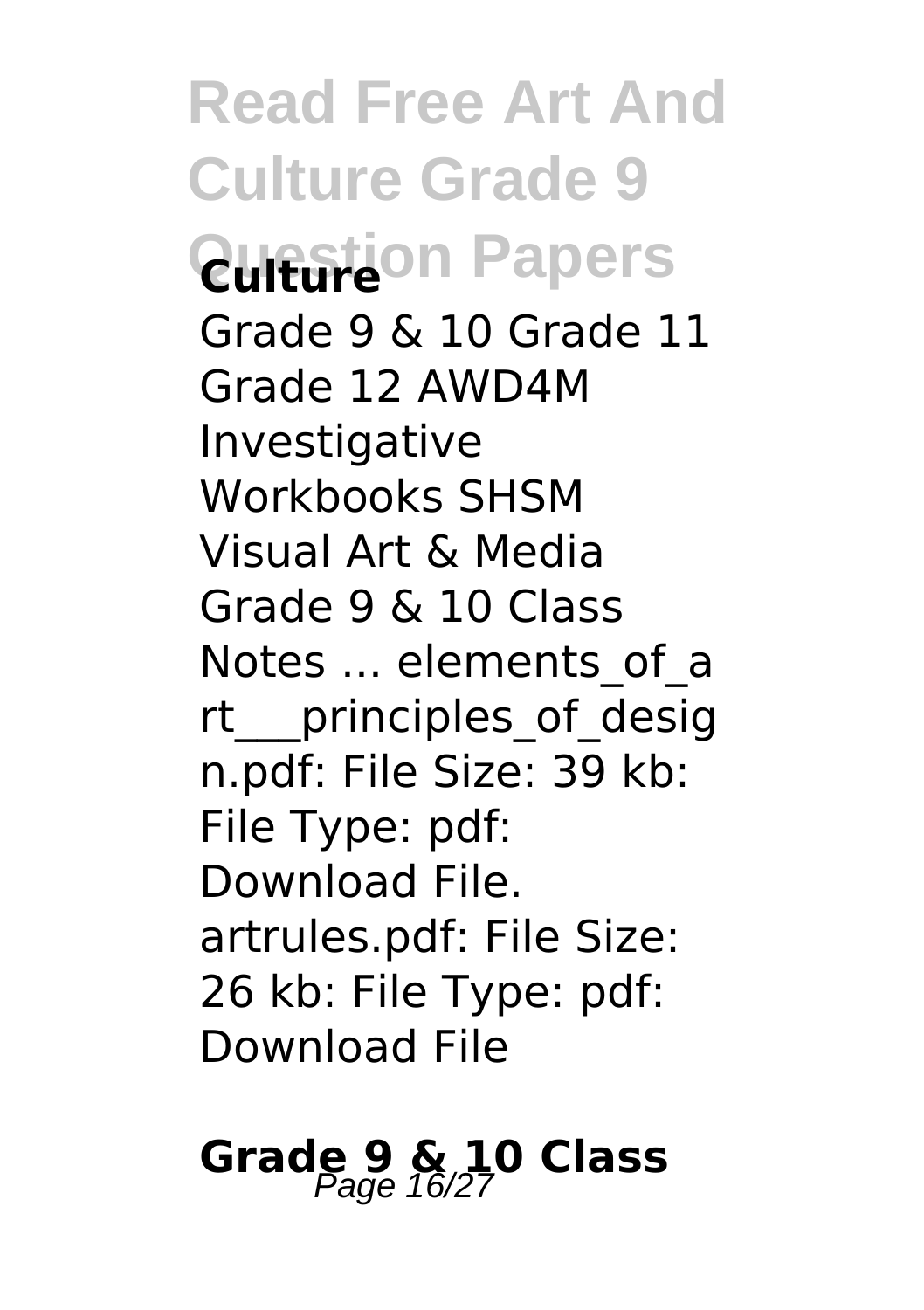**Read Free Art And Culture Grade 9 Question Papers** Grade 9 & 10 Grade 11 Grade 12 AWD4M Investigative Workbooks SHSM Visual Art & Media Grade 9 & 10 Class Notes ... elements of a rt\_\_\_principles\_of\_desig n.pdf: File Size: 39 kb: File Type: pdf: Download File. artrules.pdf: File Size: 26 kb: File Type: pdf: Download File

# **Grade 9 & 10 Class**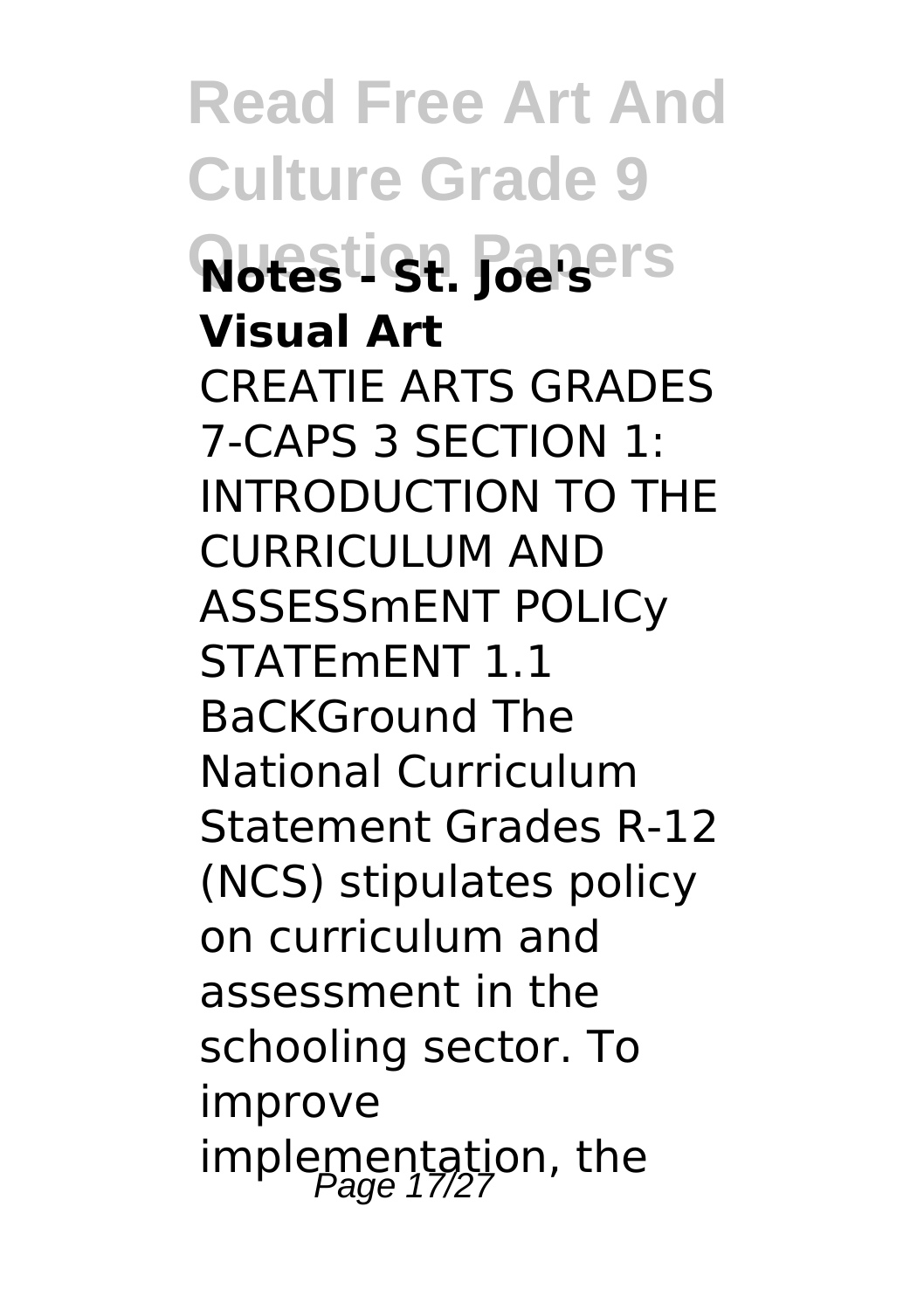**Read Free Art And Culture Grade 9 Notestign Papers Visual Art** CREATIE ARTS GRADES 7-CAPS 3 SECTION 1: INTRODUCTION TO THE CURRICULUM AND ASSESSmENT POLICy STATEmENT 1.1 BaCKGround The National Curriculum Statement Grades R-12 (NCS) stipulates policy on curriculum and assessment in the schooling sector. To improve implementation, the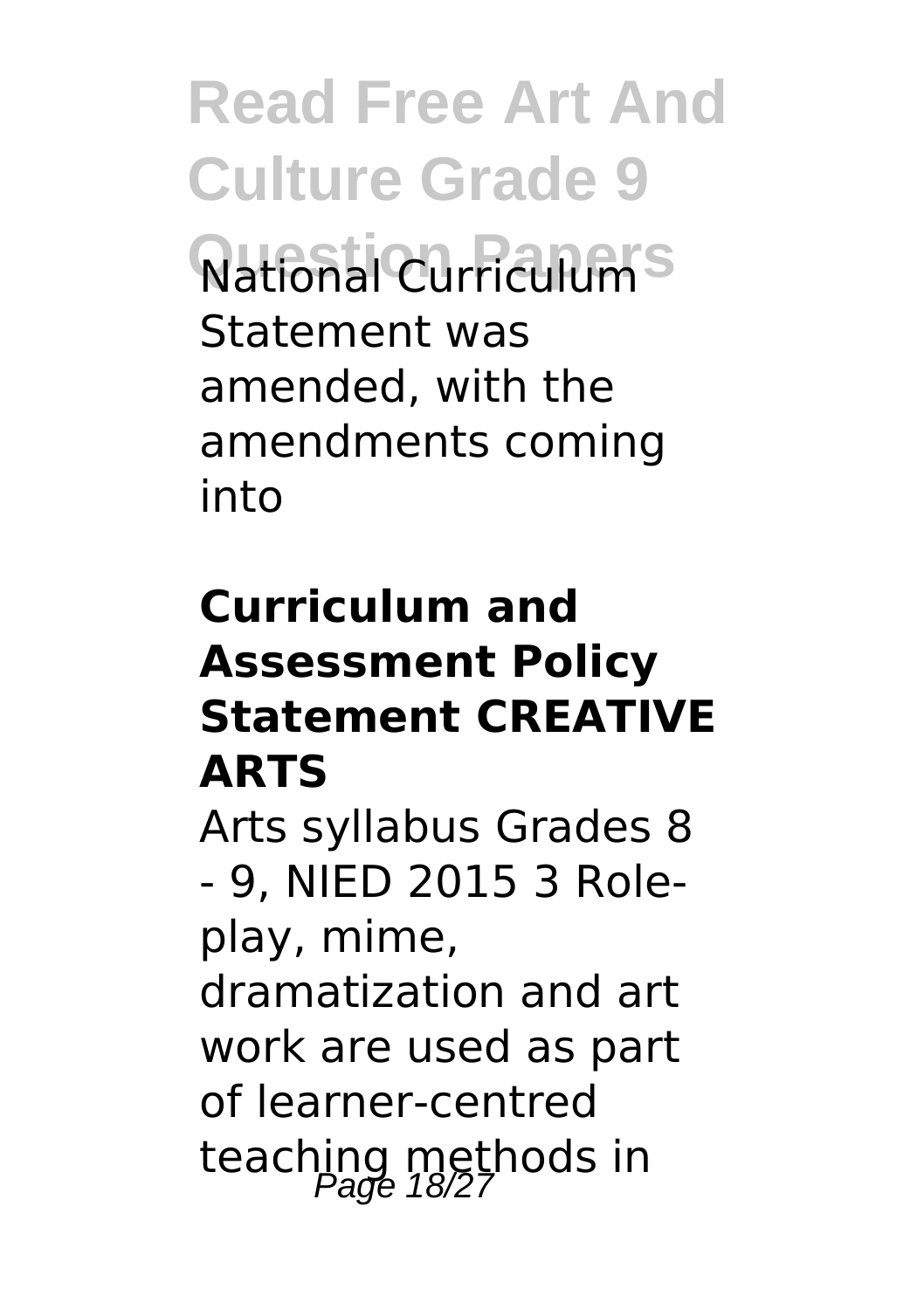**Read Free Art And Culture Grade 9** National Curriculum<sup>s</sup> Statement was amended, with the amendments coming into

### **Curriculum and Assessment Policy Statement CREATIVE ARTS**

Arts syllabus Grades 8 - 9, NIED 2015 3 Roleplay, mime, dramatization and art work are used as part of learner-centred teaching methods in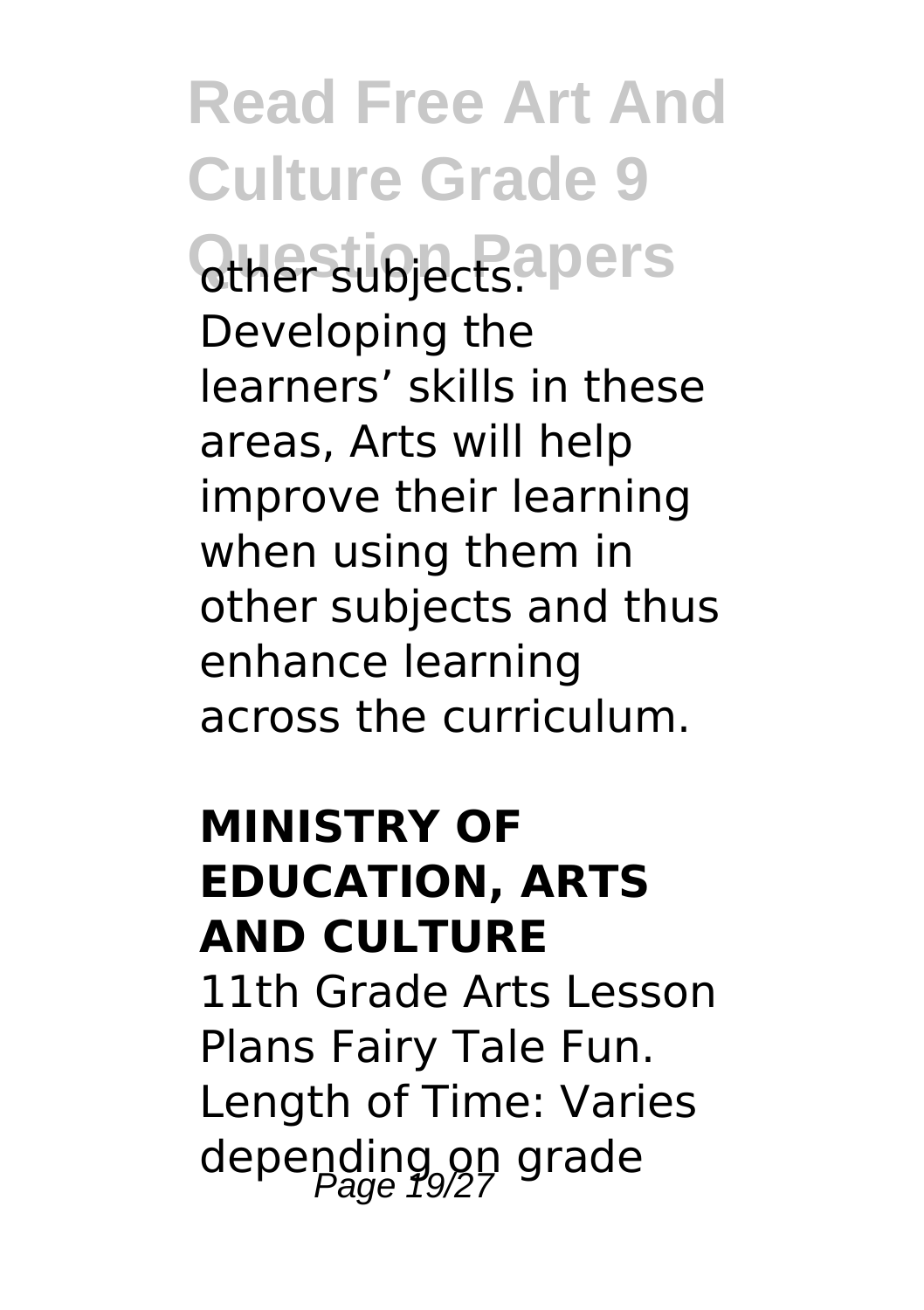**Read Free Art And Culture Grade 9 Questiblects**. Developing the learners' skills in these areas, Arts will help improve their learning when using them in other subjects and thus enhance learning across the curriculum.

### **MINISTRY OF EDUCATION, ARTS AND CULTURE**

11th Grade Arts Lesson Plans Fairy Tale Fun. Length of Time: Varies depending on grade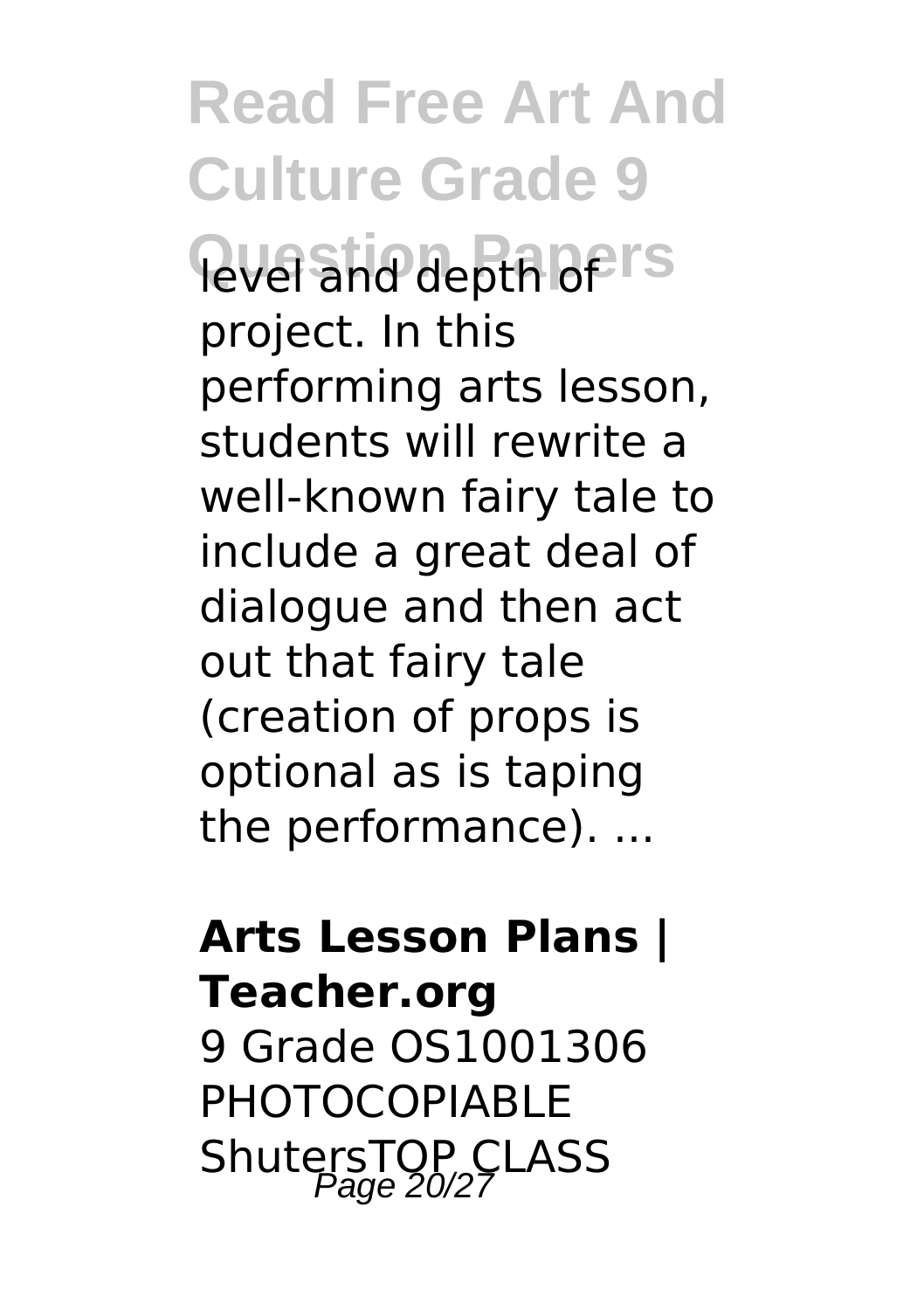**Read Free Art And Culture Grade 9** level and depth of IS project. In this performing arts lesson, students will rewrite a well-known fairy tale to include a great deal of dialogue and then act out that fairy tale (creation of props is optional as is taping the performance). ...

### **Arts Lesson Plans | Teacher.org** 9 Grade OS1001306 PHOTOCOPIABLE ShutersTOP CLASS<br>Page 20/27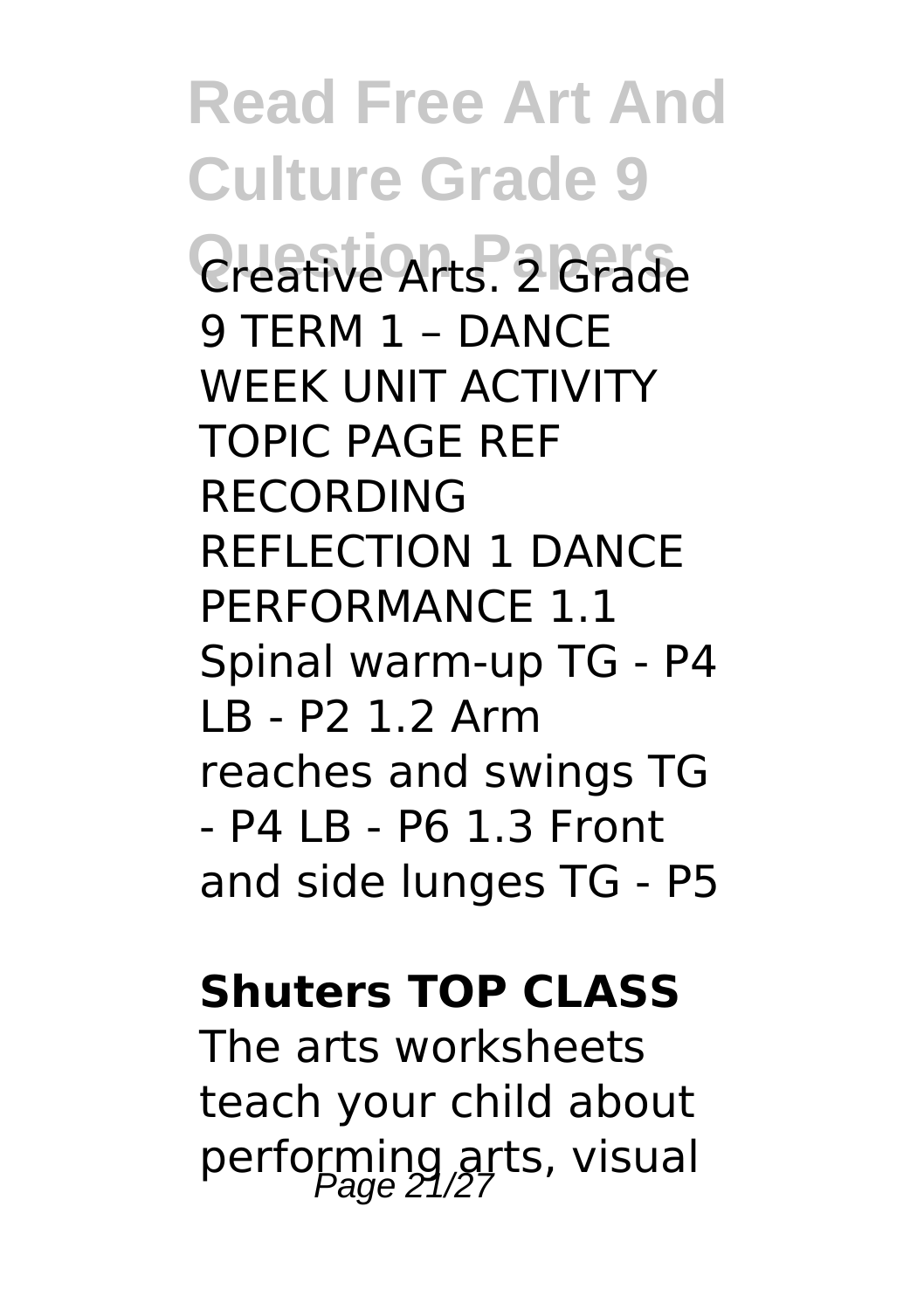**Read Free Art And Culture Grade 9 Question Papers** Creative Arts. 2 Grade 9 TERM 1 – DANCE WEEK UNIT ACTIVITY TOPIC PAGE REF RECORDING REFLECTION 1 DANCE PERFORMANCE 1.1 Spinal warm-up TG - P4 LB - P2 1.2 Arm reaches and swings TG  $-$  P4  $\overline{1}$  R  $-$  P6 1.3 Front and side lunges TG - P5

#### **Shuters TOP CLASS**

The arts worksheets teach your child about performing arts, visual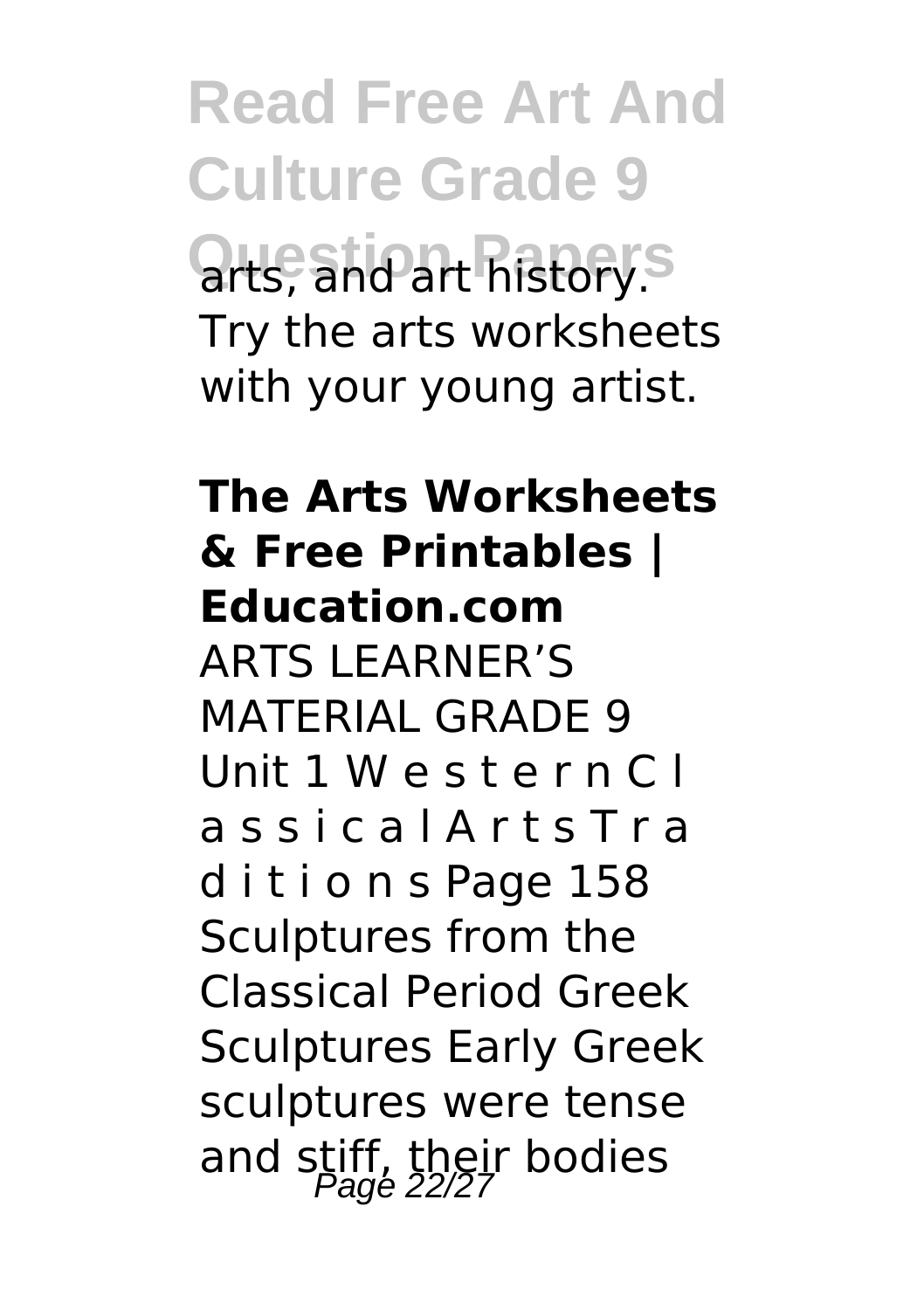**Read Free Art And Culture Grade 9** arts, and art history.<sup>S</sup> Try the arts worksheets with your young artist.

### **The Arts Worksheets & Free Printables | Education.com** ARTS LEARNER'S MATERIAL GRADE 9 Unit 1 W e s t e r n C l a s s i c a l A r t s T r a d i t i o n s Page 158 Sculptures from the Classical Period Greek Sculptures Early Greek sculptures were tense and stiff, their bodies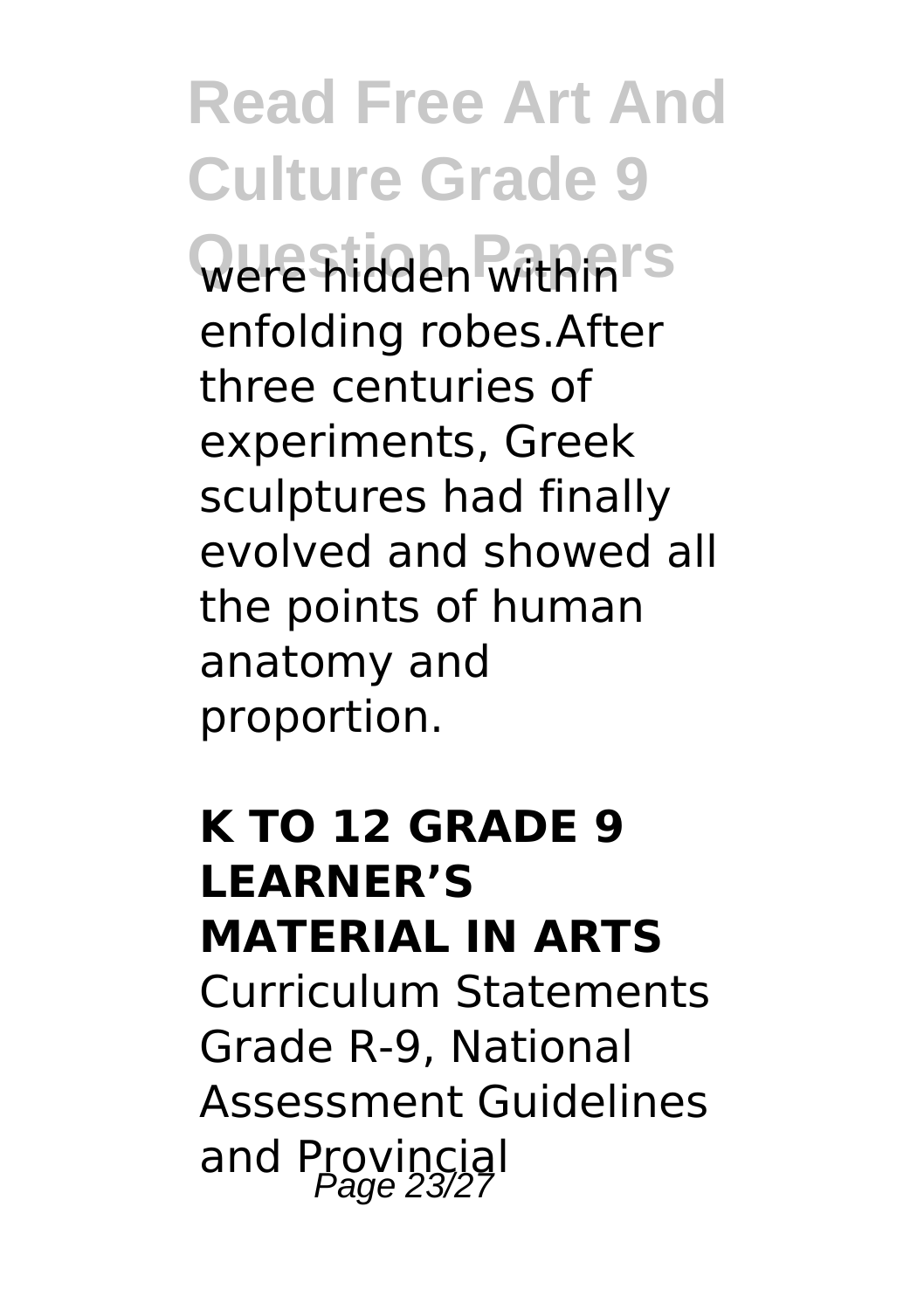**Read Free Art And Culture Grade 9 Question Papers** were hidden within enfolding robes.After three centuries of experiments, Greek sculptures had finally evolved and showed all the points of human anatomy and proportion.

### **K TO 12 GRADE 9 LEARNER'S MATERIAL IN ARTS** Curriculum Statements Grade R-9, National Assessment Guidelines and Provincial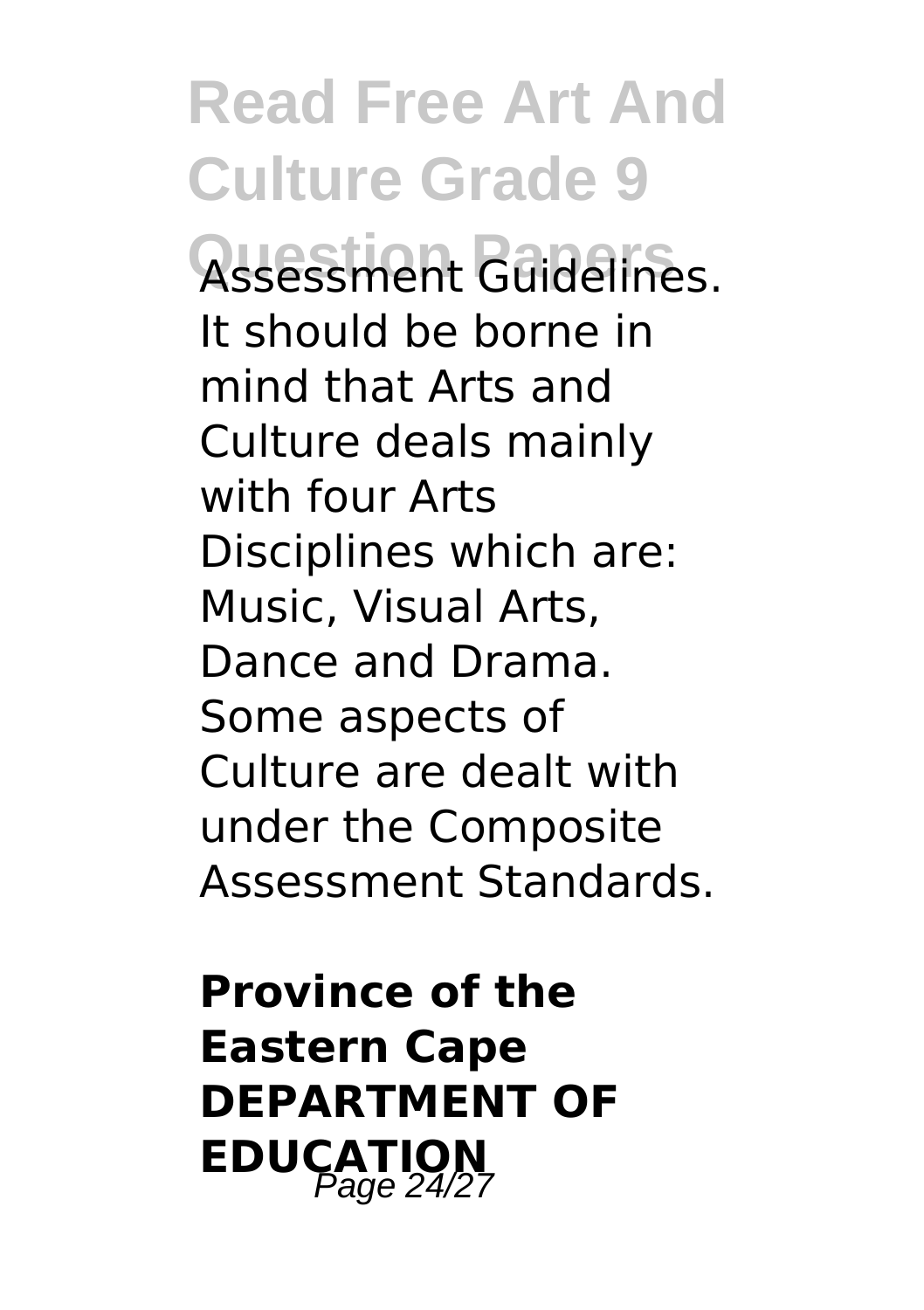**Read Free Art And Culture Grade 9 Question Papers** Assessment Guidelines. It should be borne in mind that Arts and Culture deals mainly with four Arts Disciplines which are: Music, Visual Arts, Dance and Drama. Some aspects of Culture are dealt with under the Composite Assessment Standards.

**Province of the Eastern Cape DEPARTMENT OF EDUCATION**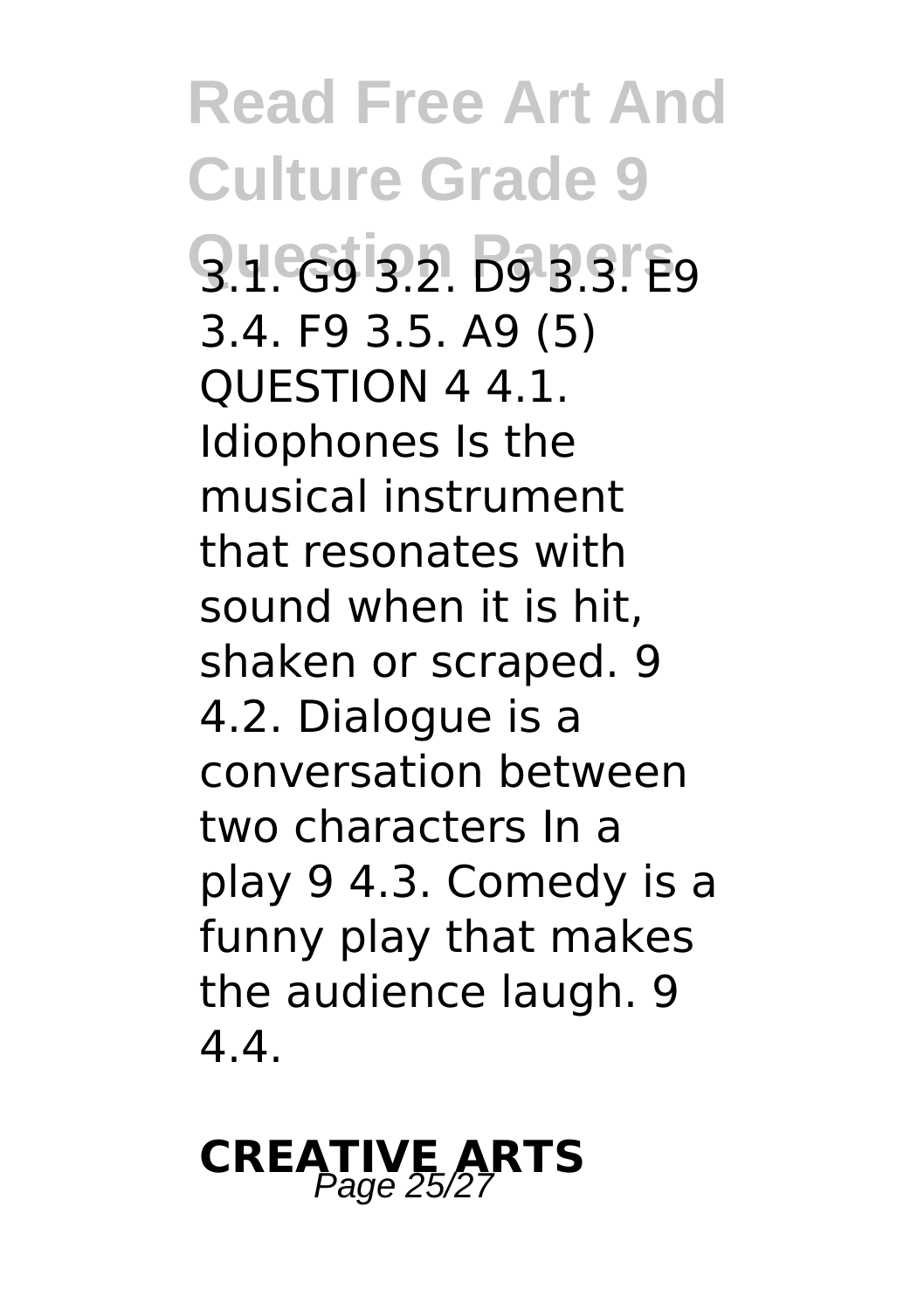**Read Free Art And Culture Grade 9 Question Papers** 3.1. G9 3.2. D9 3.3. E9 3.4. F9 3.5. A9 (5) QUESTION 4 4.1. Idiophones Is the musical instrument that resonates with sound when it is hit, shaken or scraped. 9 4.2. Dialogue is a conversation between two characters In a play 9 4.3. Comedy is a funny play that makes the audience laugh. 9 4.4.

### **CREATIVE ARTS** Page 25/27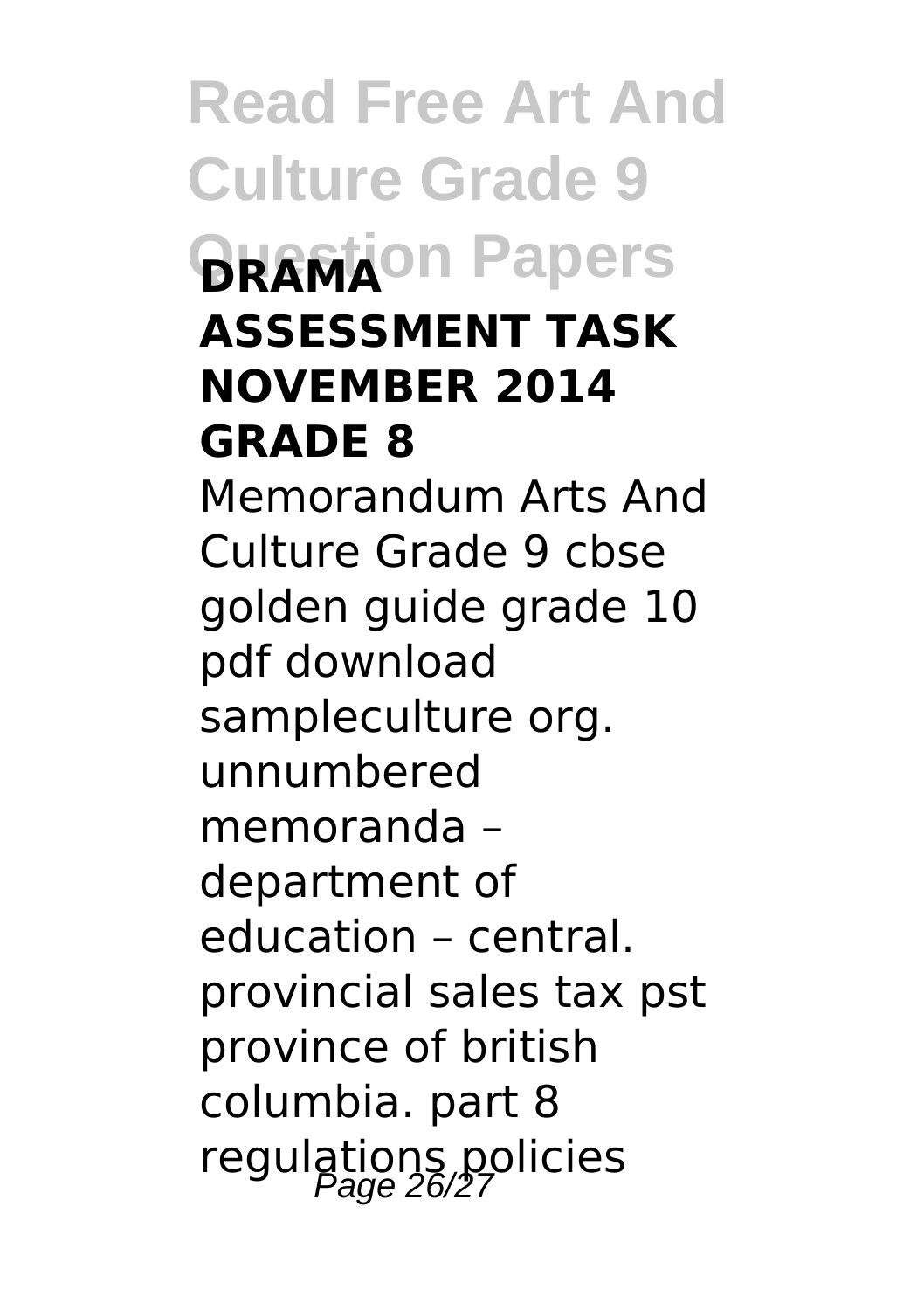**Read Free Art And Culture Grade 9 BRAMA**ON Papers **ASSESSMENT TASK NOVEMBER 2014 GRADE 8** Memorandum Arts And Culture Grade 9 cbse golden guide grade 10 pdf download sampleculture org. unnumbered memoranda – department of education – central. provincial sales tax pst province of british columbia. part 8 regulations policies